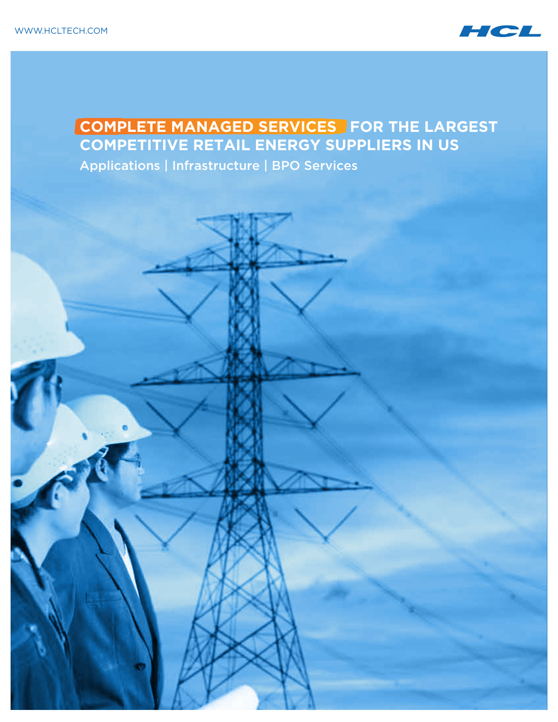

# **COMPLETE MANAGED SERVICES FOR THE LARGEST COMPETITIVE RETAIL ENERGY SUPPLIERS IN US**

Applications | Infrastructure | BPO Services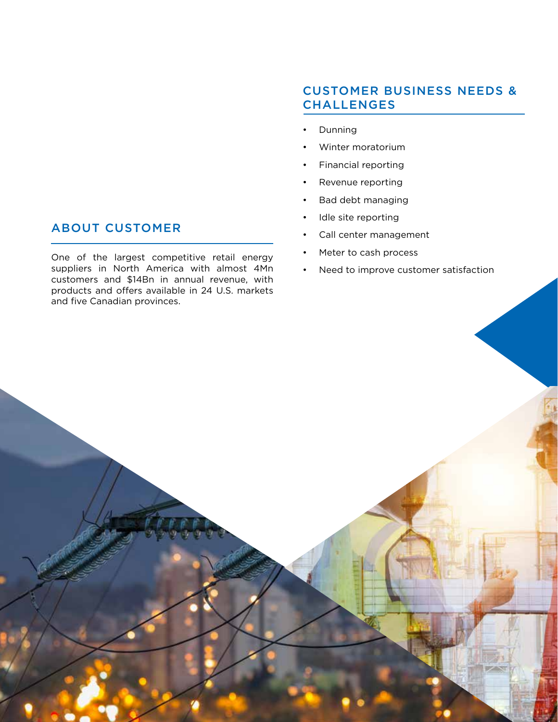#### **ABOUT CUSTOMER**

One of the largest competitive retail energy suppliers in North America with almost 4Mn customers and \$14Bn in annual revenue, with products and offers available in 24 U.S. markets and five Canadian provinces.

## Customer Business Needs & **CHALLENGES**

- **Dunning**
- Winter moratorium
- Financial reporting
- Revenue reporting
- Bad debt managing
- Idle site reporting
- Call center management
- Meter to cash process
- Need to improve customer satisfaction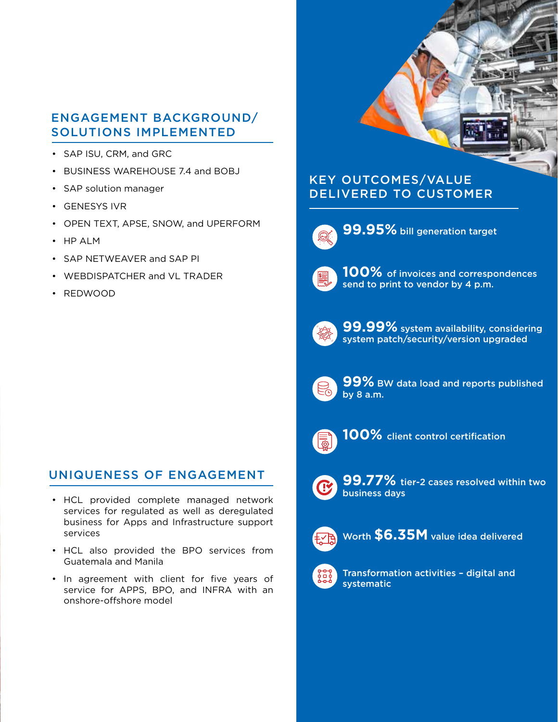### Engagement Background/ Solutions Implemented

- SAP ISU, CRM, and GRC
- BUSINESS WAREHOUSE 7.4 and BOBJ
- SAP solution manager
- GENESYS IVR
- OPEN TEXT, APSE, SNOW, and UPERFORM
- HP ALM
- SAP NETWEAVER and SAP PI
- WEBDISPATCHER and VL TRADER
- REDWOOD

## Uniqueness of Engagement

- HCL provided complete managed network services for regulated as well as deregulated business for Apps and Infrastructure support services
- HCL also provided the BPO services from Guatemala and Manila
- In agreement with client for five years of service for APPS, BPO, and INFRA with an onshore-offshore model



## Key Outcomes/Value Delivered to Customer



**99.95%** bill generation target



100% of invoices and correspondences send to print to vendor by 4 p.m.



**99.99%** system availability, considering system patch/security/version upgraded



**99%** BW data load and reports published by 8 a.m.



**100%** client control certification



**99.77%** tier-2 cases resolved within two business days



Worth **\$6.35M** value idea delivered



Transformation activities – digital and systematic